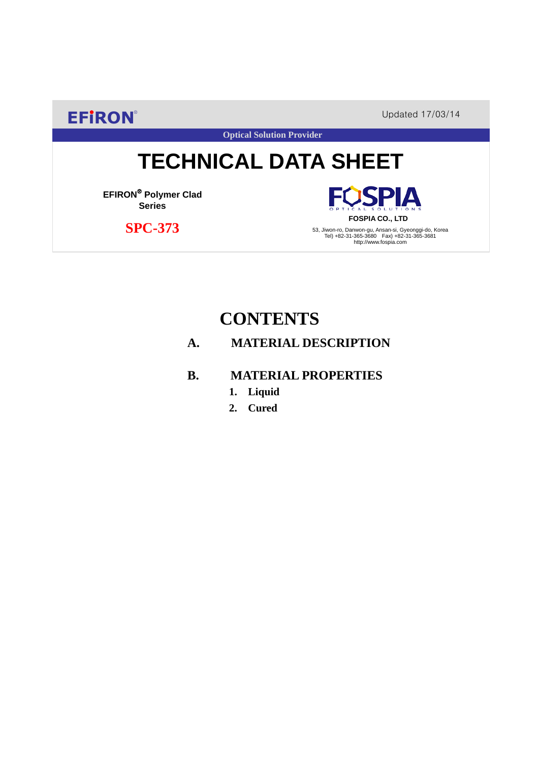**EFIRON®** Updated 17/03/14

**Optical Solution Provider**

# **TECHNICAL DATA SHEET**

**EFIRON**® **Polymer Clad Series**

 **SPC-373**

**SPIA FOSPIA CO., LTD**

53, Jiwon-ro, Danwon-gu, Ansan-si, Gyeonggi-do, Korea Tel) +82-31-365-3680 Fax) +82-31-365-3681 http://www.fospia.com

## **CONTENTS**

### **A. MATERIAL DESCRIPTION**

#### **B. MATERIAL PROPERTIES**

- **1. Liquid**
- **2. Cured**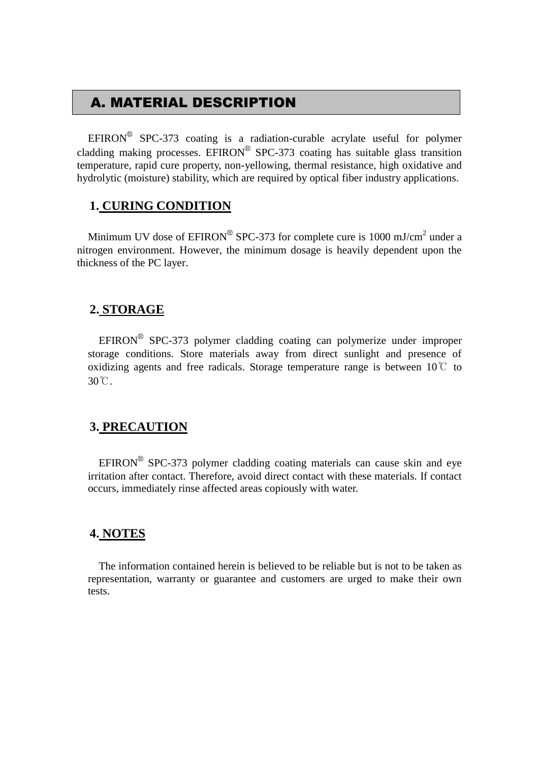## A. MATERIAL DESCRIPTION

EFIRON<sup>®</sup> SPC-373 coating is a radiation-curable acrylate useful for polymer cladding making processes. EFIRON<sup>®</sup> SPC-373 coating has suitable glass transition temperature, rapid cure property, non-yellowing, thermal resistance, high oxidative and hydrolytic (moisture) stability, which are required by optical fiber industry applications.

#### **1. CURING CONDITION**

Minimum UV dose of  $EPIRON^{\circledR}$  SPC-373 for complete cure is 1000 mJ/cm<sup>2</sup> under a nitrogen environment. However, the minimum dosage is heavily dependent upon the thickness of the PC layer.

#### **2. STORAGE**

 $EFINON^{\circledR}$  SPC-373 polymer cladding coating can polymerize under improper storage conditions. Store materials away from direct sunlight and presence of oxidizing agents and free radicals. Storage temperature range is between  $10^{\circ}$  to 30℃.

#### **3. PRECAUTION**

 $EFINON^{\circledR}$  SPC-373 polymer cladding coating materials can cause skin and eye irritation after contact. Therefore, avoid direct contact with these materials. If contact occurs, immediately rinse affected areas copiously with water.

#### **4. NOTES**

The information contained herein is believed to be reliable but is not to be taken as representation, warranty or guarantee and customers are urged to make their own tests.